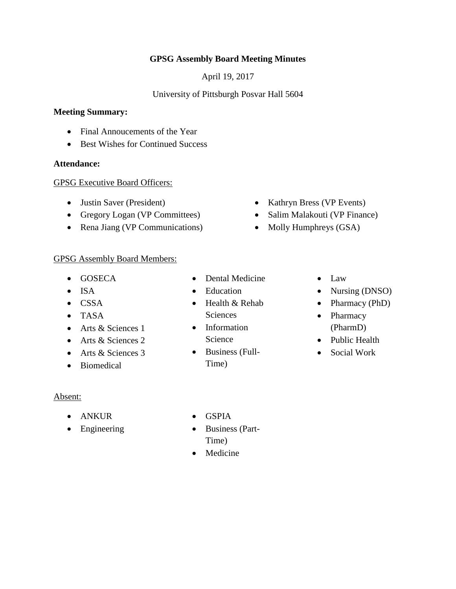## **GPSG Assembly Board Meeting Minutes**

April 19, 2017

## University of Pittsburgh Posvar Hall 5604

### **Meeting Summary:**

- Final Annoucements of the Year
- Best Wishes for Continued Success

#### **Attendance:**

#### GPSG Executive Board Officers:

- Justin Saver (President)
- Gregory Logan (VP Committees)
- Rena Jiang (VP Communications)
- GPSG Assembly Board Members:
	- GOSECA
	- $\bullet$  ISA
	- CSSA
	- TASA
	- Arts & Sciences 1
	- Arts & Sciences 2
	- Arts & Sciences 3
	- Biomedical
- Dental Medicine
- Education
- Health & Rehab Sciences
- Information Science
- Business (Full-Time)

• Law

• Kathryn Bress (VP Events) • Salim Malakouti (VP Finance)

• Molly Humphreys (GSA)

- Nursing (DNSO)
- Pharmacy (PhD)
- Pharmacy (PharmD)
- Public Health
- Social Work

### Absent:

- ANKUR
- Engineering
- GSPIA
- Business (Part-Time)
- Medicine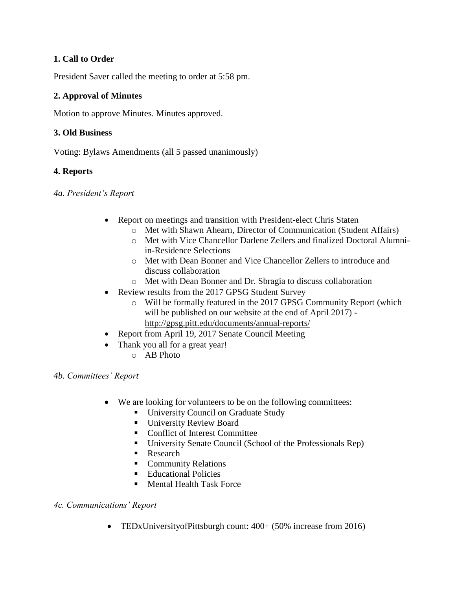## **1. Call to Order**

President Saver called the meeting to order at 5:58 pm.

## **2. Approval of Minutes**

Motion to approve Minutes. Minutes approved.

## **3. Old Business**

Voting: Bylaws Amendments (all 5 passed unanimously)

## **4. Reports**

*4a. President's Report*

- Report on meetings and transition with President-elect Chris Staten
	- o Met with Shawn Ahearn, Director of Communication (Student Affairs)
	- o Met with Vice Chancellor Darlene Zellers and finalized Doctoral Alumniin-Residence Selections
	- o Met with Dean Bonner and Vice Chancellor Zellers to introduce and discuss collaboration
	- o Met with Dean Bonner and Dr. Sbragia to discuss collaboration
- Review results from the 2017 GPSG Student Survey
	- o Will be formally featured in the 2017 GPSG Community Report (which will be published on our website at the end of April 2017) <http://gpsg.pitt.edu/documents/annual-reports/>
- Report from April 19, 2017 Senate Council Meeting
- Thank you all for a great year!
	- o AB Photo

*4b. Committees' Report*

- We are looking for volunteers to be on the following committees:
	- **University Council on Graduate Study**
	- **University Review Board**
	- Conflict of Interest Committee
	- University Senate Council (School of the Professionals Rep)
	- Research
	- **Community Relations**
	- Educational Policies
	- Mental Health Task Force

# *4c. Communications' Report*

TEDxUniversityofPittsburgh count: 400+ (50% increase from 2016)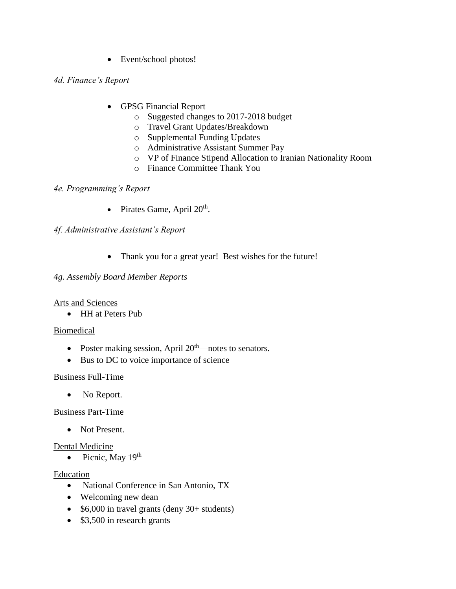• Event/school photos!

### *4d. Finance's Report*

- GPSG Financial Report
	- o Suggested changes to 2017-2018 budget
	- o Travel Grant Updates/Breakdown
	- o Supplemental Funding Updates
	- o Administrative Assistant Summer Pay
	- o VP of Finance Stipend Allocation to Iranian Nationality Room
	- o Finance Committee Thank You

## *4e. Programming's Report*

• Pirates Game, April  $20<sup>th</sup>$ .

# *4f. Administrative Assistant's Report*

• Thank you for a great year! Best wishes for the future!

### *4g. Assembly Board Member Reports*

### Arts and Sciences

• HH at Peters Pub

### Biomedical

- Poster making session, April  $20<sup>th</sup>$ —notes to senators.
- Bus to DC to voice importance of science

### Business Full-Time

• No Report.

### Business Part-Time

• Not Present.

### Dental Medicine

• Picnic, May  $19<sup>th</sup>$ 

### Education

- National Conference in San Antonio, TX
- Welcoming new dean
- $\bullet$  \$6,000 in travel grants (deny 30+ students)
- \$3,500 in research grants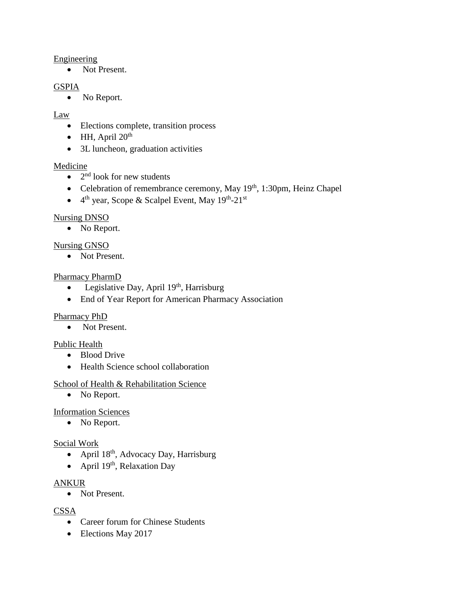#### Engineering

• Not Present.

#### GSPIA

• No Report.

#### Law

- Elections complete, transition process
- $\bullet$  HH, April 20<sup>th</sup>
- 3L luncheon, graduation activities

### Medicine

- $\bullet$  2<sup>nd</sup> look for new students
- Celebration of remembrance ceremony, May 19<sup>th</sup>, 1:30pm, Heinz Chapel
- $\bullet$  4<sup>th</sup> year, Scope & Scalpel Event, May 19<sup>th</sup>-21<sup>st</sup>

## Nursing DNSO

• No Report.

## Nursing GNSO

• Not Present.

### Pharmacy PharmD

- Legislative Day, April  $19<sup>th</sup>$ , Harrisburg
- End of Year Report for American Pharmacy Association

### Pharmacy PhD

• Not Present.

### Public Health

- Blood Drive
- Health Science school collaboration

### School of Health & Rehabilitation Science

• No Report.

### Information Sciences

• No Report.

### Social Work

- April  $18<sup>th</sup>$ , Advocacy Day, Harrisburg
- April  $19<sup>th</sup>$ , Relaxation Day

### ANKUR

• Not Present.

### **CSSA**

- Career forum for Chinese Students
- Elections May 2017